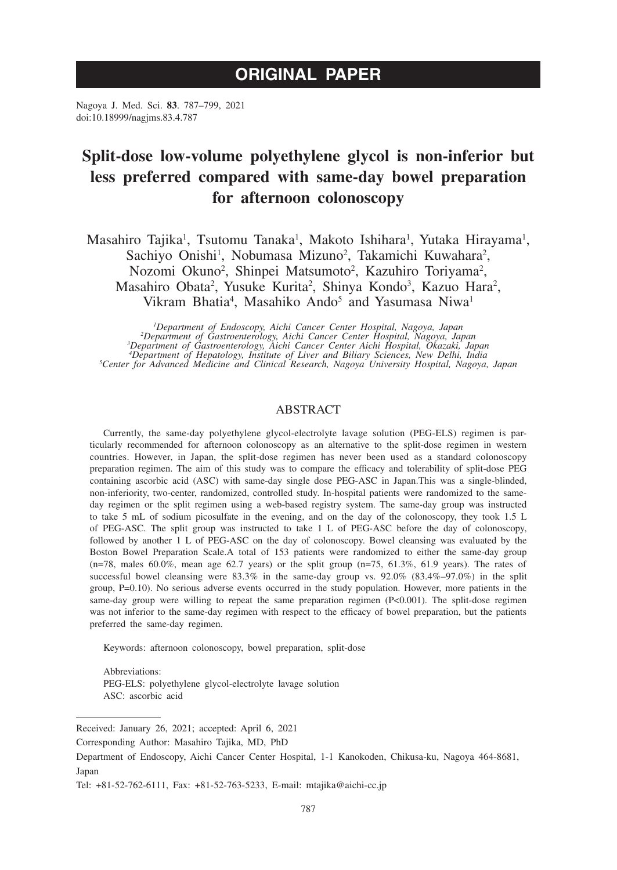# **ORIGINAL PAPER**

Nagoya J. Med. Sci. **83**. 787–799, 2021 doi:10.18999/nagjms.83.4.787

# **Split-dose low-volume polyethylene glycol is non-inferior but less preferred compared with same-day bowel preparation for afternoon colonoscopy**

Masahiro Tajika<sup>1</sup>, Tsutomu Tanaka<sup>1</sup>, Makoto Ishihara<sup>1</sup>, Yutaka Hirayama<sup>1</sup>, Sachiyo Onishi<sup>1</sup>, Nobumasa Mizuno<sup>2</sup>, Takamichi Kuwahara<sup>2</sup>, Nozomi Okuno<sup>2</sup>, Shinpei Matsumoto<sup>2</sup>, Kazuhiro Toriyama<sup>2</sup>, Masahiro Obata<sup>2</sup>, Yusuke Kurita<sup>2</sup>, Shinya Kondo<sup>3</sup>, Kazuo Hara<sup>2</sup>, Vikram Bhatia<sup>4</sup>, Masahiko Ando<sup>5</sup> and Yasumasa Niwa<sup>1</sup>

*1 Department of Endoscopy, Aichi Cancer Center Hospital, Nagoya, Japan <sup>2</sup>* <sup>2</sup>Department of Gastroenterology, Aichi Cancer Center Hospital, Nagoya, Japan<sup>3</sup>Department of Gastroenterology, Aichi Cancer Center Aichi Hospital, Okazaki, Japan<sup>3</sup>Department of Hepatology, Institute of Liver and Biliary

# ABSTRACT

Currently, the same-day polyethylene glycol-electrolyte lavage solution (PEG-ELS) regimen is particularly recommended for afternoon colonoscopy as an alternative to the split-dose regimen in western countries. However, in Japan, the split-dose regimen has never been used as a standard colonoscopy preparation regimen. The aim of this study was to compare the efficacy and tolerability of split-dose PEG containing ascorbic acid (ASC) with same-day single dose PEG-ASC in Japan.This was a single-blinded, non-inferiority, two-center, randomized, controlled study. In-hospital patients were randomized to the sameday regimen or the split regimen using a web-based registry system. The same-day group was instructed to take 5 mL of sodium picosulfate in the evening, and on the day of the colonoscopy, they took 1.5 L of PEG-ASC. The split group was instructed to take 1 L of PEG-ASC before the day of colonoscopy, followed by another 1 L of PEG-ASC on the day of colonoscopy. Bowel cleansing was evaluated by the Boston Bowel Preparation Scale.A total of 153 patients were randomized to either the same-day group  $(n=78, \text{ males } 60.0\%, \text{ mean age } 62.7 \text{ years})$  or the split group  $(n=75, 61.3\%, 61.9 \text{ years})$ . The rates of successful bowel cleansing were 83.3% in the same-day group vs. 92.0% (83.4%–97.0%) in the split group, P=0.10). No serious adverse events occurred in the study population. However, more patients in the same-day group were willing to repeat the same preparation regimen (P<0.001). The split-dose regimen was not inferior to the same-day regimen with respect to the efficacy of bowel preparation, but the patients preferred the same-day regimen.

Keywords: afternoon colonoscopy, bowel preparation, split-dose

Abbreviations: PEG-ELS: polyethylene glycol-electrolyte lavage solution ASC: ascorbic acid

Received: January 26, 2021; accepted: April 6, 2021

Corresponding Author: Masahiro Tajika, MD, PhD

Department of Endoscopy, Aichi Cancer Center Hospital, 1-1 Kanokoden, Chikusa-ku, Nagoya 464-8681, Japan

Tel: +81-52-762-6111, Fax: +81-52-763-5233, E-mail: mtajika@aichi-cc.jp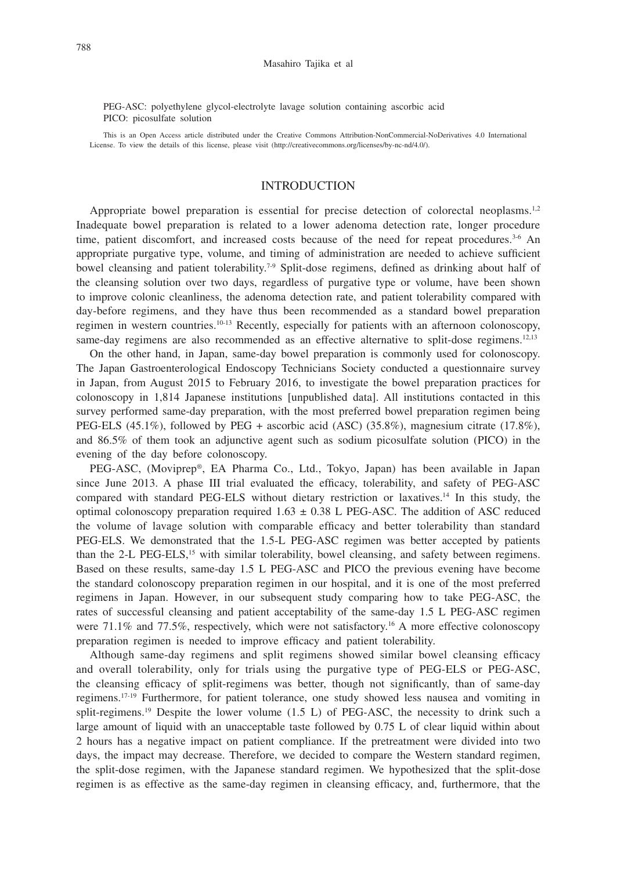PEG-ASC: polyethylene glycol-electrolyte lavage solution containing ascorbic acid PICO: picosulfate solution

This is an Open Access article distributed under the Creative Commons Attribution-NonCommercial-NoDerivatives 4.0 International License. To view the details of this license, please visit (http://creativecommons.org/licenses/by-nc-nd/4.0/).

## INTRODUCTION

Appropriate bowel preparation is essential for precise detection of colorectal neoplasms.<sup>1,2</sup> Inadequate bowel preparation is related to a lower adenoma detection rate, longer procedure time, patient discomfort, and increased costs because of the need for repeat procedures. $3.56$  An appropriate purgative type, volume, and timing of administration are needed to achieve sufficient bowel cleansing and patient tolerability.<sup>7-9</sup> Split-dose regimens, defined as drinking about half of the cleansing solution over two days, regardless of purgative type or volume, have been shown to improve colonic cleanliness, the adenoma detection rate, and patient tolerability compared with day-before regimens, and they have thus been recommended as a standard bowel preparation regimen in western countries.10-13 Recently, especially for patients with an afternoon colonoscopy, same-day regimens are also recommended as an effective alternative to split-dose regimens.<sup>12,13</sup>

On the other hand, in Japan, same-day bowel preparation is commonly used for colonoscopy. The Japan Gastroenterological Endoscopy Technicians Society conducted a questionnaire survey in Japan, from August 2015 to February 2016, to investigate the bowel preparation practices for colonoscopy in 1,814 Japanese institutions [unpublished data]. All institutions contacted in this survey performed same-day preparation, with the most preferred bowel preparation regimen being PEG-ELS (45.1%), followed by PEG + ascorbic acid (ASC) (35.8%), magnesium citrate (17.8%), and 86.5% of them took an adjunctive agent such as sodium picosulfate solution (PICO) in the evening of the day before colonoscopy.

PEG-ASC, (Moviprep®, EA Pharma Co., Ltd., Tokyo, Japan) has been available in Japan since June 2013. A phase III trial evaluated the efficacy, tolerability, and safety of PEG-ASC compared with standard PEG-ELS without dietary restriction or laxatives.14 In this study, the optimal colonoscopy preparation required  $1.63 \pm 0.38$  L PEG-ASC. The addition of ASC reduced the volume of lavage solution with comparable efficacy and better tolerability than standard PEG-ELS. We demonstrated that the 1.5-L PEG-ASC regimen was better accepted by patients than the 2-L PEG-ELS,<sup>15</sup> with similar tolerability, bowel cleansing, and safety between regimens. Based on these results, same-day 1.5 L PEG-ASC and PICO the previous evening have become the standard colonoscopy preparation regimen in our hospital, and it is one of the most preferred regimens in Japan. However, in our subsequent study comparing how to take PEG-ASC, the rates of successful cleansing and patient acceptability of the same-day 1.5 L PEG-ASC regimen were 71.1% and 77.5%, respectively, which were not satisfactory.<sup>16</sup> A more effective colonoscopy preparation regimen is needed to improve efficacy and patient tolerability.

Although same-day regimens and split regimens showed similar bowel cleansing efficacy and overall tolerability, only for trials using the purgative type of PEG-ELS or PEG-ASC, the cleansing efficacy of split-regimens was better, though not significantly, than of same-day regimens.17-19 Furthermore, for patient tolerance, one study showed less nausea and vomiting in split-regimens.<sup>19</sup> Despite the lower volume (1.5 L) of PEG-ASC, the necessity to drink such a large amount of liquid with an unacceptable taste followed by 0.75 L of clear liquid within about 2 hours has a negative impact on patient compliance. If the pretreatment were divided into two days, the impact may decrease. Therefore, we decided to compare the Western standard regimen, the split-dose regimen, with the Japanese standard regimen. We hypothesized that the split-dose regimen is as effective as the same-day regimen in cleansing efficacy, and, furthermore, that the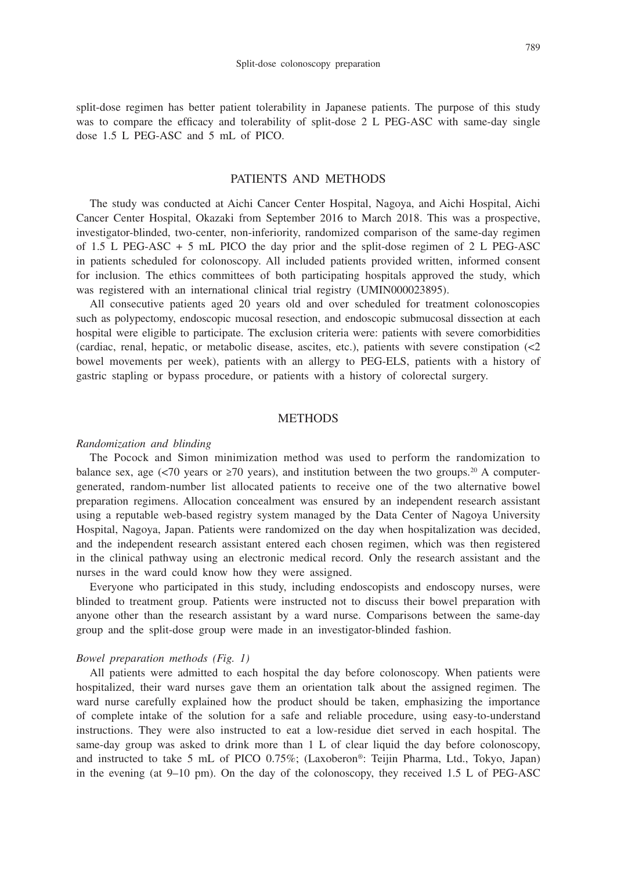split-dose regimen has better patient tolerability in Japanese patients. The purpose of this study was to compare the efficacy and tolerability of split-dose 2 L PEG-ASC with same-day single dose 1.5 L PEG-ASC and 5 mL of PICO.

# PATIENTS AND METHODS

The study was conducted at Aichi Cancer Center Hospital, Nagoya, and Aichi Hospital, Aichi Cancer Center Hospital, Okazaki from September 2016 to March 2018. This was a prospective, investigator-blinded, two-center, non-inferiority, randomized comparison of the same-day regimen of 1.5 L PEG-ASC  $+$  5 mL PICO the day prior and the split-dose regimen of 2 L PEG-ASC in patients scheduled for colonoscopy. All included patients provided written, informed consent for inclusion. The ethics committees of both participating hospitals approved the study, which was registered with an international clinical trial registry (UMIN000023895).

All consecutive patients aged 20 years old and over scheduled for treatment colonoscopies such as polypectomy, endoscopic mucosal resection, and endoscopic submucosal dissection at each hospital were eligible to participate. The exclusion criteria were: patients with severe comorbidities (cardiac, renal, hepatic, or metabolic disease, ascites, etc.), patients with severe constipation  $\langle$ <2 bowel movements per week), patients with an allergy to PEG-ELS, patients with a history of gastric stapling or bypass procedure, or patients with a history of colorectal surgery.

# **METHODS**

#### *Randomization and blinding*

The Pocock and Simon minimization method was used to perform the randomization to balance sex, age (<70 years or  $\geq 70$  years), and institution between the two groups.<sup>20</sup> A computergenerated, random-number list allocated patients to receive one of the two alternative bowel preparation regimens. Allocation concealment was ensured by an independent research assistant using a reputable web-based registry system managed by the Data Center of Nagoya University Hospital, Nagoya, Japan. Patients were randomized on the day when hospitalization was decided, and the independent research assistant entered each chosen regimen, which was then registered in the clinical pathway using an electronic medical record. Only the research assistant and the nurses in the ward could know how they were assigned.

Everyone who participated in this study, including endoscopists and endoscopy nurses, were blinded to treatment group. Patients were instructed not to discuss their bowel preparation with anyone other than the research assistant by a ward nurse. Comparisons between the same-day group and the split-dose group were made in an investigator-blinded fashion.

## *Bowel preparation methods (Fig. 1)*

All patients were admitted to each hospital the day before colonoscopy. When patients were hospitalized, their ward nurses gave them an orientation talk about the assigned regimen. The ward nurse carefully explained how the product should be taken, emphasizing the importance of complete intake of the solution for a safe and reliable procedure, using easy-to-understand instructions. They were also instructed to eat a low-residue diet served in each hospital. The same-day group was asked to drink more than 1 L of clear liquid the day before colonoscopy, and instructed to take 5 mL of PICO 0.75%; (Laxoberon®: Teijin Pharma, Ltd., Tokyo, Japan) in the evening (at 9–10 pm). On the day of the colonoscopy, they received 1.5 L of PEG-ASC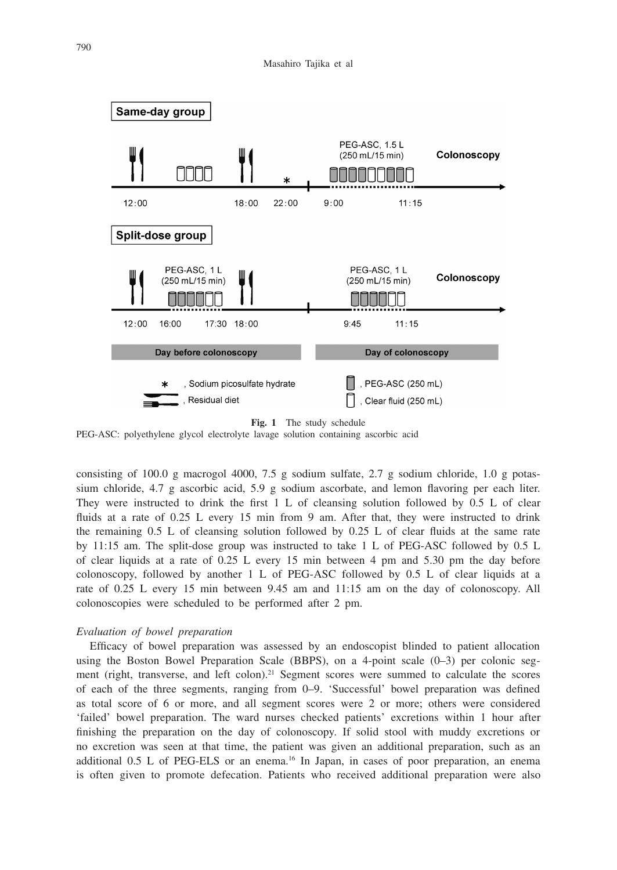



PEG-ASC: polyethylene glycol electrolyte lavage solution containing ascorbic acid

consisting of 100.0 g macrogol 4000, 7.5 g sodium sulfate, 2.7 g sodium chloride, 1.0 g potassium chloride, 4.7 g ascorbic acid, 5.9 g sodium ascorbate, and lemon flavoring per each liter. They were instructed to drink the first 1 L of cleansing solution followed by 0.5 L of clear fluids at a rate of 0.25 L every 15 min from 9 am. After that, they were instructed to drink the remaining 0.5 L of cleansing solution followed by 0.25 L of clear fluids at the same rate by 11:15 am. The split-dose group was instructed to take 1 L of PEG-ASC followed by 0.5 L of clear liquids at a rate of 0.25 L every 15 min between 4 pm and 5.30 pm the day before colonoscopy, followed by another 1 L of PEG-ASC followed by 0.5 L of clear liquids at a rate of 0.25 L every 15 min between 9.45 am and 11:15 am on the day of colonoscopy. All colonoscopies were scheduled to be performed after 2 pm.

### *Evaluation of bowel preparation*

Efficacy of bowel preparation was assessed by an endoscopist blinded to patient allocation using the Boston Bowel Preparation Scale (BBPS), on a 4-point scale (0–3) per colonic segment (right, transverse, and left colon).21 Segment scores were summed to calculate the scores of each of the three segments, ranging from 0–9. 'Successful' bowel preparation was defined as total score of 6 or more, and all segment scores were 2 or more; others were considered 'failed' bowel preparation. The ward nurses checked patients' excretions within 1 hour after finishing the preparation on the day of colonoscopy. If solid stool with muddy excretions or no excretion was seen at that time, the patient was given an additional preparation, such as an additional  $0.5$  L of PEG-ELS or an enema.<sup>16</sup> In Japan, in cases of poor preparation, an enema is often given to promote defecation. Patients who received additional preparation were also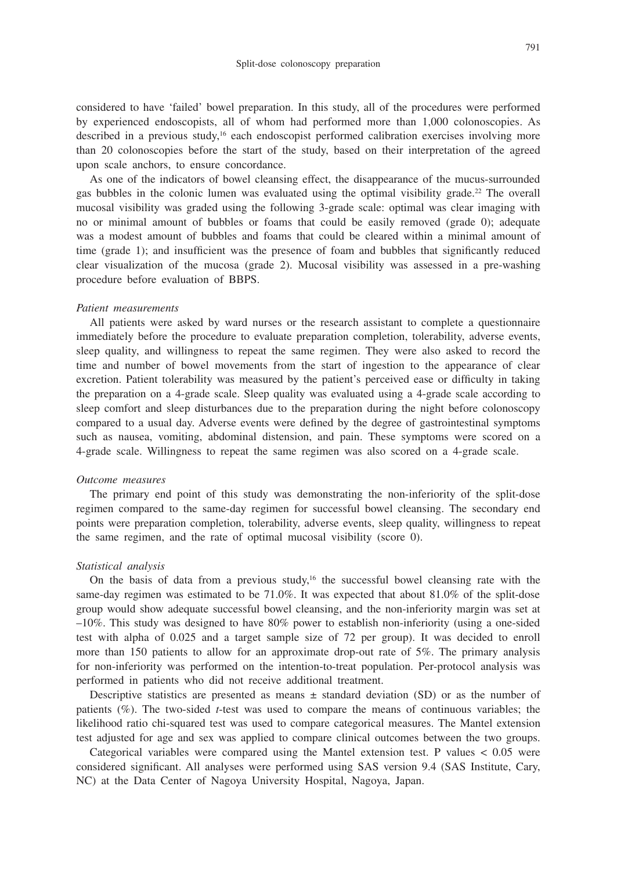considered to have 'failed' bowel preparation. In this study, all of the procedures were performed by experienced endoscopists, all of whom had performed more than 1,000 colonoscopies. As described in a previous study,<sup>16</sup> each endoscopist performed calibration exercises involving more than 20 colonoscopies before the start of the study, based on their interpretation of the agreed upon scale anchors, to ensure concordance.

As one of the indicators of bowel cleansing effect, the disappearance of the mucus-surrounded gas bubbles in the colonic lumen was evaluated using the optimal visibility grade.<sup>22</sup> The overall mucosal visibility was graded using the following 3-grade scale: optimal was clear imaging with no or minimal amount of bubbles or foams that could be easily removed (grade 0); adequate was a modest amount of bubbles and foams that could be cleared within a minimal amount of time (grade 1); and insufficient was the presence of foam and bubbles that significantly reduced clear visualization of the mucosa (grade 2). Mucosal visibility was assessed in a pre-washing procedure before evaluation of BBPS.

### *Patient measurements*

All patients were asked by ward nurses or the research assistant to complete a questionnaire immediately before the procedure to evaluate preparation completion, tolerability, adverse events, sleep quality, and willingness to repeat the same regimen. They were also asked to record the time and number of bowel movements from the start of ingestion to the appearance of clear excretion. Patient tolerability was measured by the patient's perceived ease or difficulty in taking the preparation on a 4-grade scale. Sleep quality was evaluated using a 4-grade scale according to sleep comfort and sleep disturbances due to the preparation during the night before colonoscopy compared to a usual day. Adverse events were defined by the degree of gastrointestinal symptoms such as nausea, vomiting, abdominal distension, and pain. These symptoms were scored on a 4-grade scale. Willingness to repeat the same regimen was also scored on a 4-grade scale.

### *Outcome measures*

The primary end point of this study was demonstrating the non-inferiority of the split-dose regimen compared to the same-day regimen for successful bowel cleansing. The secondary end points were preparation completion, tolerability, adverse events, sleep quality, willingness to repeat the same regimen, and the rate of optimal mucosal visibility (score 0).

# *Statistical analysis*

On the basis of data from a previous study,<sup>16</sup> the successful bowel cleansing rate with the same-day regimen was estimated to be 71.0%. It was expected that about 81.0% of the split-dose group would show adequate successful bowel cleansing, and the non-inferiority margin was set at  $-10\%$ . This study was designed to have 80% power to establish non-inferiority (using a one-sided test with alpha of 0.025 and a target sample size of 72 per group). It was decided to enroll more than 150 patients to allow for an approximate drop-out rate of 5%. The primary analysis for non-inferiority was performed on the intention-to-treat population. Per-protocol analysis was performed in patients who did not receive additional treatment.

Descriptive statistics are presented as means  $\pm$  standard deviation (SD) or as the number of patients (%). The two-sided *t*-test was used to compare the means of continuous variables; the likelihood ratio chi-squared test was used to compare categorical measures. The Mantel extension test adjusted for age and sex was applied to compare clinical outcomes between the two groups.

Categorical variables were compared using the Mantel extension test. P values < 0.05 were considered significant. All analyses were performed using SAS version 9.4 (SAS Institute, Cary, NC) at the Data Center of Nagoya University Hospital, Nagoya, Japan.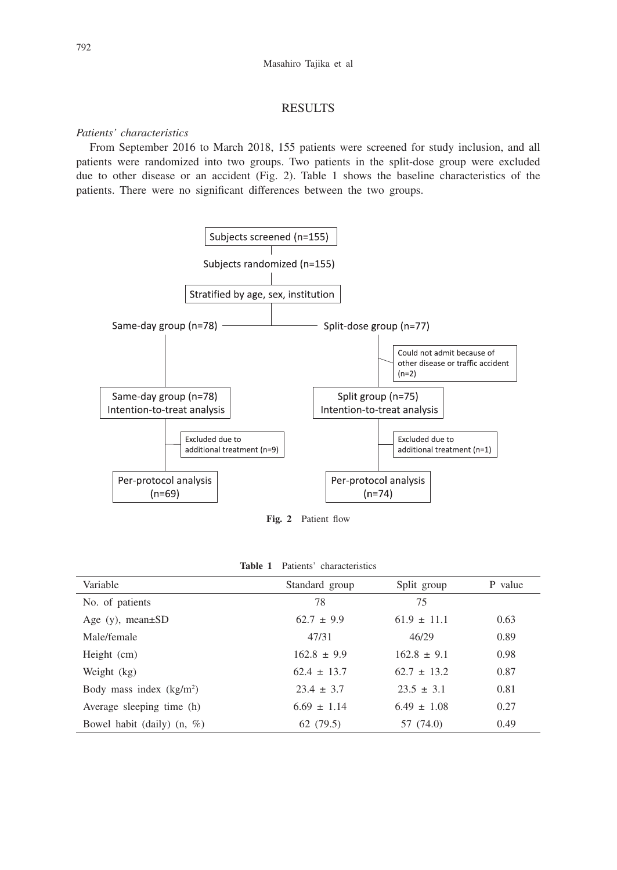## RESULTS

# *Patients' characteristics*

From September 2016 to March 2018, 155 patients were screened for study inclusion, and all patients were randomized into two groups. Two patients in the split-dose group were excluded due to other disease or an accident (Fig. 2). Table 1 shows the baseline characteristics of the patients. There were no significant differences between the two groups.



**Fig. 2** Patient flow

| Variable                      | Standard group  | Split group     | P value |
|-------------------------------|-----------------|-----------------|---------|
| No. of patients               | 78              | 75              |         |
| Age $(y)$ , mean $\pm SD$     | $62.7 \pm 9.9$  | $61.9 \pm 11.1$ | 0.63    |
| Male/female                   | 47/31           | 46/29           | 0.89    |
| Height (cm)                   | $162.8 \pm 9.9$ | $162.8 \pm 9.1$ | 0.98    |
| Weight (kg)                   | $62.4 \pm 13.7$ | $62.7 \pm 13.2$ | 0.87    |
| Body mass index $(kg/m2)$     | $23.4 \pm 3.7$  | $23.5 \pm 3.1$  | 0.81    |
| Average sleeping time (h)     | $6.69 \pm 1.14$ | $6.49 \pm 1.08$ | 0.27    |
| Bowel habit (daily) $(n, \%)$ | 62(79.5)        | 57 (74.0)       | 0.49    |

| Patients' characteristics<br>Table 1 |
|--------------------------------------|
|--------------------------------------|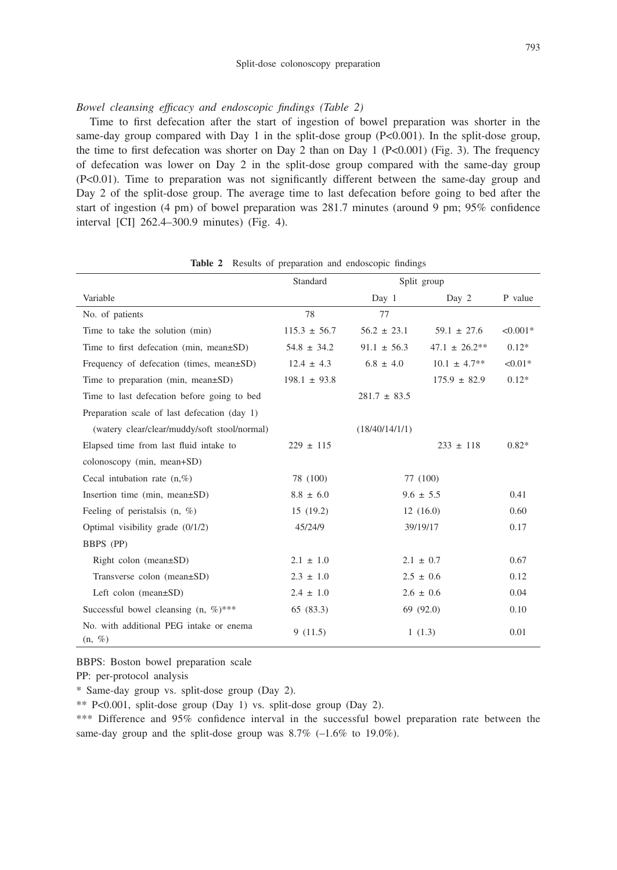#### Split-dose colonoscopy preparation

### *Bowel cleansing efficacy and endoscopic findings (Table 2)*

Time to first defecation after the start of ingestion of bowel preparation was shorter in the same-day group compared with Day 1 in the split-dose group  $(P< 0.001)$ . In the split-dose group, the time to first defecation was shorter on Day 2 than on Day 1 ( $P<0.001$ ) (Fig. 3). The frequency of defecation was lower on Day 2 in the split-dose group compared with the same-day group (P<0.01). Time to preparation was not significantly different between the same-day group and Day 2 of the split-dose group. The average time to last defecation before going to bed after the start of ingestion (4 pm) of bowel preparation was 281.7 minutes (around 9 pm; 95% confidence interval [CI] 262.4–300.9 minutes) (Fig. 4).

|                                                      | Standard         | Split group      |                   |            |
|------------------------------------------------------|------------------|------------------|-------------------|------------|
| Variable                                             |                  | Day 1            | Day 2             | P value    |
| No. of patients                                      | 78               | 77               |                   |            |
| Time to take the solution (min)                      | $115.3 \pm 56.7$ | $56.2 \pm 23.1$  | $59.1 \pm 27.6$   | $< 0.001*$ |
| Time to first defecation (min, mean $\pm$ SD)        | $54.8 \pm 34.2$  | $91.1 \pm 56.3$  | $47.1 \pm 26.2**$ | $0.12*$    |
| Frequency of defecation (times, mean±SD)             | $12.4 \pm 4.3$   | $6.8 \pm 4.0$    | $10.1 \pm 4.7**$  | $< 0.01*$  |
| Time to preparation (min, mean $\pm SD$ )            | $198.1 \pm 93.8$ |                  | $175.9 \pm 82.9$  | $0.12*$    |
| Time to last defecation before going to bed          |                  | $281.7 \pm 83.5$ |                   |            |
| Preparation scale of last defecation (day 1)         |                  |                  |                   |            |
| (watery clear/clear/muddy/soft stool/normal)         |                  | (18/40/14/1/1)   |                   |            |
| Elapsed time from last fluid intake to               | $229 \pm 115$    |                  | $233 \pm 118$     | $0.82*$    |
| colonoscopy (min, mean+SD)                           |                  |                  |                   |            |
| Cecal intubation rate $(n, %)$                       | 78 (100)         |                  | 77 (100)          |            |
| Insertion time (min, mean $\pm$ SD)                  | $8.8 \pm 6.0$    |                  | $9.6 \pm 5.5$     | 0.41       |
| Feeling of peristalsis $(n, %)$                      | 15(19.2)         |                  | 12(16.0)          | 0.60       |
| Optimal visibility grade $(0/1/2)$                   | 45/24/9          |                  | 39/19/17          | 0.17       |
| BBPS (PP)                                            |                  |                  |                   |            |
| Right colon (mean $\pm$ SD)                          | $2.1 \pm 1.0$    |                  | $2.1 \pm 0.7$     | 0.67       |
| Transverse colon (mean±SD)                           | $2.3 \pm 1.0$    |                  | $2.5 \pm 0.6$     | 0.12       |
| Left colon $(mean \pm SD)$                           | $2.4 \pm 1.0$    |                  | $2.6 \pm 0.6$     | 0.04       |
| Successful bowel cleansing $(n, \%)$ ***             | 65 (83.3)        |                  | 69 (92.0)         | 0.10       |
| No. with additional PEG intake or enema<br>$(n, \%)$ | 9(11.5)          |                  | 1(1.3)            | 0.01       |

**Table 2** Results of preparation and endoscopic findings

BBPS: Boston bowel preparation scale

PP: per-protocol analysis

\* Same-day group vs. split-dose group (Day 2).

\*\* P<0.001, split-dose group (Day 1) vs. split-dose group (Day 2).

\*\*\* Difference and 95% confidence interval in the successful bowel preparation rate between the same-day group and the split-dose group was  $8.7\%$  (-1.6\% to 19.0\%).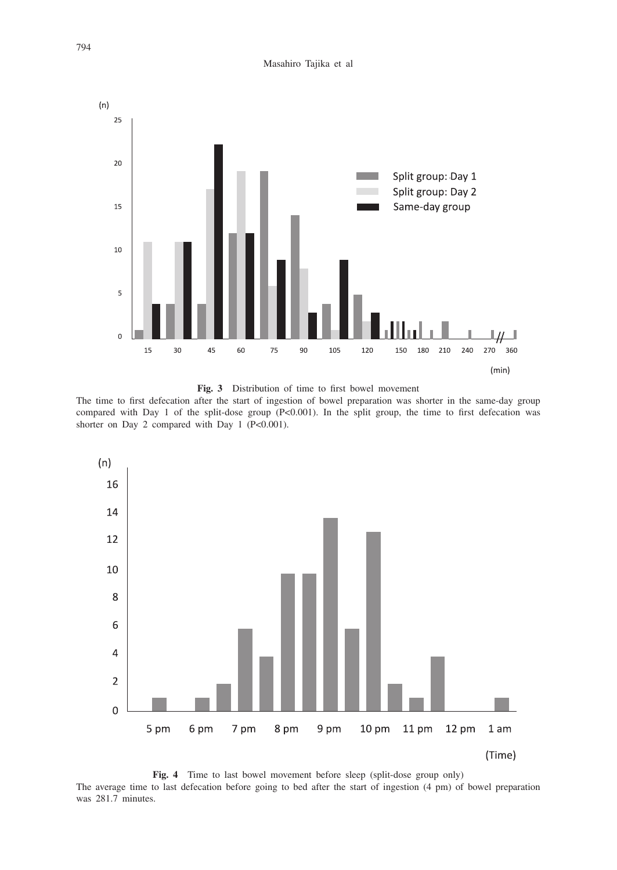Masahiro Tajika et al



**Fig. 3** Distribution of time to first bowel movement

The time to first defecation after the start of ingestion of bowel preparation was shorter in the same-day group compared with Day 1 of the split-dose group (P<0.001). In the split group, the time to first defecation was shorter on Day 2 compared with Day 1 (P<0.001).



Fig. 4 Time to last bowel movement before sleep (split-dose group only) The average time to last defecation before going to bed after the start of ingestion (4 pm) of bowel preparation was 281.7 minutes.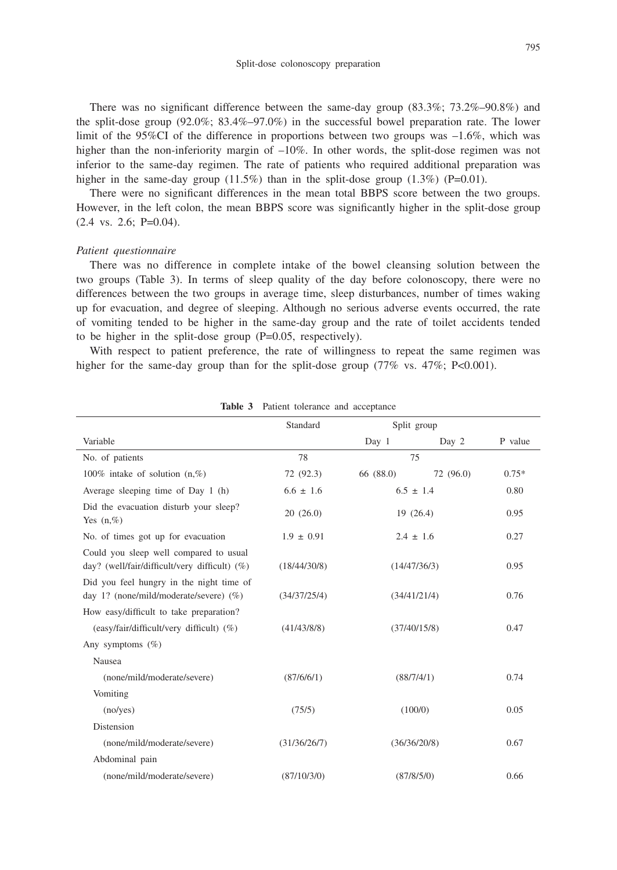There was no significant difference between the same-day group (83.3%; 73.2%–90.8%) and the split-dose group (92.0%; 83.4%–97.0%) in the successful bowel preparation rate. The lower limit of the 95%CI of the difference in proportions between two groups was –1.6%, which was higher than the non-inferiority margin of  $-10\%$ . In other words, the split-dose regimen was not inferior to the same-day regimen. The rate of patients who required additional preparation was higher in the same-day group  $(11.5\%)$  than in the split-dose group  $(1.3\%)$  (P=0.01).

There were no significant differences in the mean total BBPS score between the two groups. However, in the left colon, the mean BBPS score was significantly higher in the split-dose group (2.4 vs. 2.6; P=0.04).

#### *Patient questionnaire*

There was no difference in complete intake of the bowel cleansing solution between the two groups (Table 3). In terms of sleep quality of the day before colonoscopy, there were no differences between the two groups in average time, sleep disturbances, number of times waking up for evacuation, and degree of sleeping. Although no serious adverse events occurred, the rate of vomiting tended to be higher in the same-day group and the rate of toilet accidents tended to be higher in the split-dose group (P=0.05, respectively).

With respect to patient preference, the rate of willingness to repeat the same regimen was higher for the same-day group than for the split-dose group  $(77\% \text{ vs. } 47\%; P<0.001)$ .

|                                                                                         | Standard       | Split group   |           |         |
|-----------------------------------------------------------------------------------------|----------------|---------------|-----------|---------|
| Variable                                                                                |                | Day 1         | Day 2     | P value |
| No. of patients                                                                         | 78             | 75            |           |         |
| 100% intake of solution $(n, \%)$                                                       | 72 (92.3)      | 66 (88.0)     | 72 (96.0) | $0.75*$ |
| Average sleeping time of Day 1 (h)                                                      | $6.6 \pm 1.6$  | $6.5 \pm 1.4$ |           | 0.80    |
| Did the evacuation disturb your sleep?<br>Yes $(n, \%)$                                 | 20(26.0)       | 19(26.4)      |           | 0.95    |
| No. of times got up for evacuation                                                      | $1.9 \pm 0.91$ | $2.4 \pm 1.6$ |           | 0.27    |
| Could you sleep well compared to usual<br>day? (well/fair/difficult/very difficult) (%) | (18/44/30/8)   | (14/47/36/3)  |           | 0.95    |
| Did you feel hungry in the night time of<br>day 1? (none/mild/moderate/severe) (%)      | (34/37/25/4)   | (34/41/21/4)  |           | 0.76    |
| How easy/difficult to take preparation?                                                 |                |               |           |         |
| (easy/fair/difficult/very difficult) (%)                                                | (41/43/8/8)    | (37/40/15/8)  |           | 0.47    |
| Any symptoms $(\%)$                                                                     |                |               |           |         |
| Nausea                                                                                  |                |               |           |         |
| (none/mild/moderate/severe)                                                             | (87/6/6/1)     | (88/7/4/1)    |           | 0.74    |
| Vomiting                                                                                |                |               |           |         |
| (no/yes)                                                                                | (75/5)         | (100/0)       |           | 0.05    |
| Distension                                                                              |                |               |           |         |
| (none/mild/moderate/severe)                                                             | (31/36/26/7)   | (36/36/20/8)  |           | 0.67    |
| Abdominal pain                                                                          |                |               |           |         |
| (none/mild/moderate/severe)                                                             | (87/10/3/0)    | (87/8/5/0)    |           | 0.66    |

**Table 3** Patient tolerance and acceptance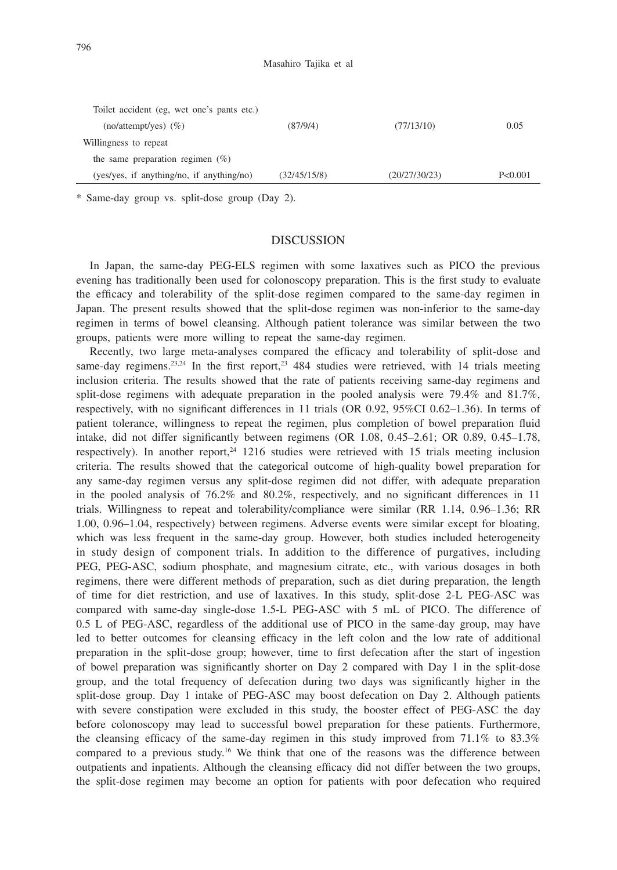Masahiro Tajika et al

| Toilet accident (eg, wet one's pants etc.) |              |               |         |
|--------------------------------------------|--------------|---------------|---------|
| $(no/attention)$ (%)                       | (87/9/4)     | (77/13/10)    | 0.05    |
| Willingness to repeat                      |              |               |         |
| the same preparation regimen $(\%)$        |              |               |         |
| (yes/yes, if anything/no, if anything/no)  | (32/45/15/8) | (20/27/30/23) | P<0.001 |

\* Same-day group vs. split-dose group (Day 2).

# **DISCUSSION**

In Japan, the same-day PEG-ELS regimen with some laxatives such as PICO the previous evening has traditionally been used for colonoscopy preparation. This is the first study to evaluate the efficacy and tolerability of the split-dose regimen compared to the same-day regimen in Japan. The present results showed that the split-dose regimen was non-inferior to the same-day regimen in terms of bowel cleansing. Although patient tolerance was similar between the two groups, patients were more willing to repeat the same-day regimen.

Recently, two large meta-analyses compared the efficacy and tolerability of split-dose and same-day regimens.<sup>23,24</sup> In the first report,<sup>23</sup> 484 studies were retrieved, with 14 trials meeting inclusion criteria. The results showed that the rate of patients receiving same-day regimens and split-dose regimens with adequate preparation in the pooled analysis were 79.4% and 81.7%, respectively, with no significant differences in 11 trials (OR 0.92, 95%CI 0.62–1.36). In terms of patient tolerance, willingness to repeat the regimen, plus completion of bowel preparation fluid intake, did not differ significantly between regimens (OR 1.08, 0.45–2.61; OR 0.89, 0.45–1.78, respectively). In another report,<sup>24</sup> 1216 studies were retrieved with 15 trials meeting inclusion criteria. The results showed that the categorical outcome of high-quality bowel preparation for any same-day regimen versus any split-dose regimen did not differ, with adequate preparation in the pooled analysis of 76.2% and 80.2%, respectively, and no significant differences in 11 trials. Willingness to repeat and tolerability/compliance were similar (RR 1.14, 0.96–1.36; RR 1.00, 0.96–1.04, respectively) between regimens. Adverse events were similar except for bloating, which was less frequent in the same-day group. However, both studies included heterogeneity in study design of component trials. In addition to the difference of purgatives, including PEG, PEG-ASC, sodium phosphate, and magnesium citrate, etc., with various dosages in both regimens, there were different methods of preparation, such as diet during preparation, the length of time for diet restriction, and use of laxatives. In this study, split-dose 2-L PEG-ASC was compared with same-day single-dose 1.5-L PEG-ASC with 5 mL of PICO. The difference of 0.5 L of PEG-ASC, regardless of the additional use of PICO in the same-day group, may have led to better outcomes for cleansing efficacy in the left colon and the low rate of additional preparation in the split-dose group; however, time to first defecation after the start of ingestion of bowel preparation was significantly shorter on Day 2 compared with Day 1 in the split-dose group, and the total frequency of defecation during two days was significantly higher in the split-dose group. Day 1 intake of PEG-ASC may boost defecation on Day 2. Although patients with severe constipation were excluded in this study, the booster effect of PEG-ASC the day before colonoscopy may lead to successful bowel preparation for these patients. Furthermore, the cleansing efficacy of the same-day regimen in this study improved from 71.1% to 83.3% compared to a previous study.16 We think that one of the reasons was the difference between outpatients and inpatients. Although the cleansing efficacy did not differ between the two groups, the split-dose regimen may become an option for patients with poor defecation who required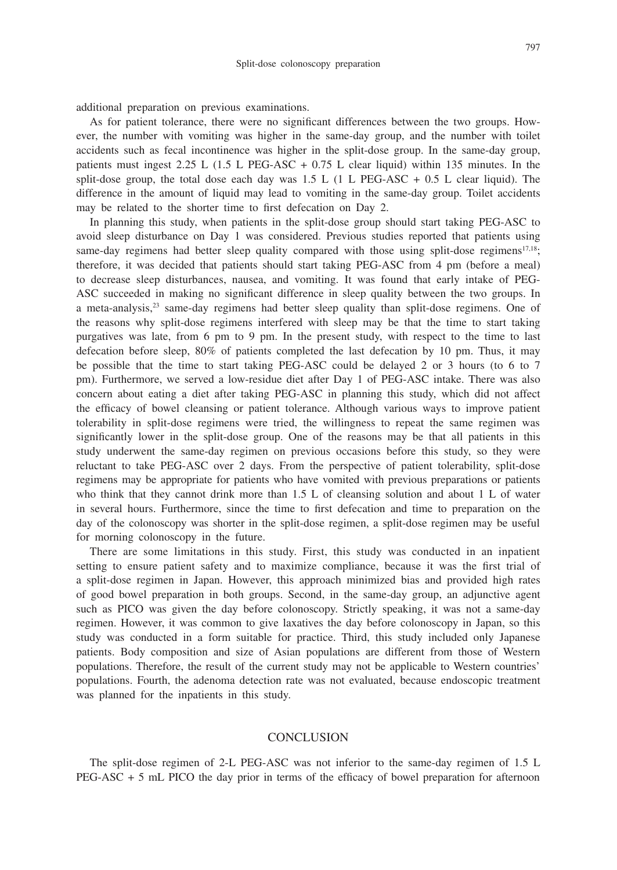additional preparation on previous examinations.

As for patient tolerance, there were no significant differences between the two groups. However, the number with vomiting was higher in the same-day group, and the number with toilet accidents such as fecal incontinence was higher in the split-dose group. In the same-day group, patients must ingest  $2.25$  L  $(1.5$  L PEG-ASC  $+$  0.75 L clear liquid) within 135 minutes. In the split-dose group, the total dose each day was  $1.5 \text{ L}$  (1 L PEG-ASC + 0.5 L clear liquid). The difference in the amount of liquid may lead to vomiting in the same-day group. Toilet accidents may be related to the shorter time to first defecation on Day 2.

In planning this study, when patients in the split-dose group should start taking PEG-ASC to avoid sleep disturbance on Day 1 was considered. Previous studies reported that patients using same-day regimens had better sleep quality compared with those using split-dose regimens<sup>17,18</sup>; therefore, it was decided that patients should start taking PEG-ASC from 4 pm (before a meal) to decrease sleep disturbances, nausea, and vomiting. It was found that early intake of PEG-ASC succeeded in making no significant difference in sleep quality between the two groups. In a meta-analysis, $23$  same-day regimens had better sleep quality than split-dose regimens. One of the reasons why split-dose regimens interfered with sleep may be that the time to start taking purgatives was late, from 6 pm to 9 pm. In the present study, with respect to the time to last defecation before sleep, 80% of patients completed the last defecation by 10 pm. Thus, it may be possible that the time to start taking PEG-ASC could be delayed 2 or 3 hours (to 6 to 7 pm). Furthermore, we served a low-residue diet after Day 1 of PEG-ASC intake. There was also concern about eating a diet after taking PEG-ASC in planning this study, which did not affect the efficacy of bowel cleansing or patient tolerance. Although various ways to improve patient tolerability in split-dose regimens were tried, the willingness to repeat the same regimen was significantly lower in the split-dose group. One of the reasons may be that all patients in this study underwent the same-day regimen on previous occasions before this study, so they were reluctant to take PEG-ASC over 2 days. From the perspective of patient tolerability, split-dose regimens may be appropriate for patients who have vomited with previous preparations or patients who think that they cannot drink more than 1.5 L of cleansing solution and about 1 L of water in several hours. Furthermore, since the time to first defecation and time to preparation on the day of the colonoscopy was shorter in the split-dose regimen, a split-dose regimen may be useful for morning colonoscopy in the future.

There are some limitations in this study. First, this study was conducted in an inpatient setting to ensure patient safety and to maximize compliance, because it was the first trial of a split-dose regimen in Japan. However, this approach minimized bias and provided high rates of good bowel preparation in both groups. Second, in the same-day group, an adjunctive agent such as PICO was given the day before colonoscopy. Strictly speaking, it was not a same-day regimen. However, it was common to give laxatives the day before colonoscopy in Japan, so this study was conducted in a form suitable for practice. Third, this study included only Japanese patients. Body composition and size of Asian populations are different from those of Western populations. Therefore, the result of the current study may not be applicable to Western countries' populations. Fourth, the adenoma detection rate was not evaluated, because endoscopic treatment was planned for the inpatients in this study.

# **CONCLUSION**

The split-dose regimen of 2-L PEG-ASC was not inferior to the same-day regimen of 1.5 L PEG-ASC + 5 mL PICO the day prior in terms of the efficacy of bowel preparation for afternoon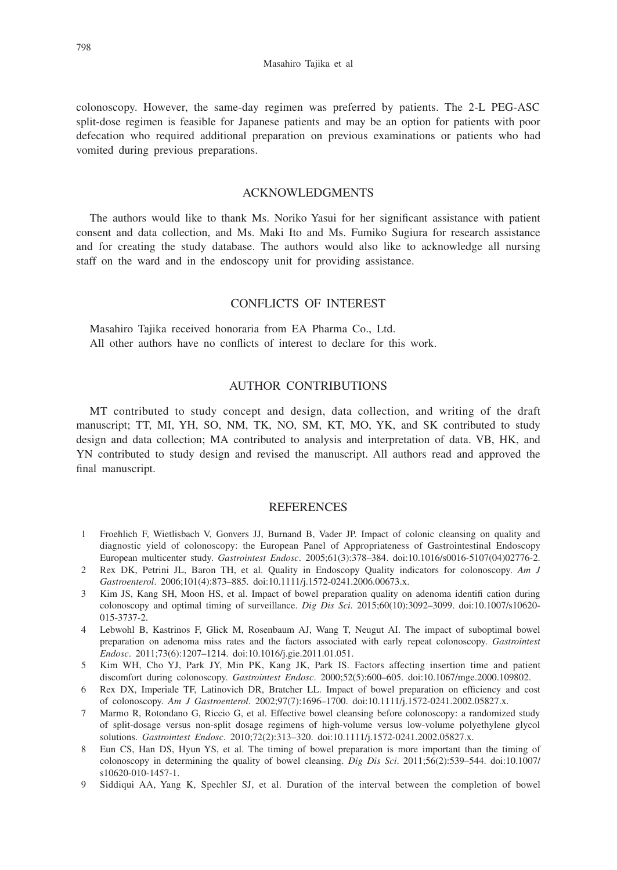colonoscopy. However, the same-day regimen was preferred by patients. The 2-L PEG-ASC split-dose regimen is feasible for Japanese patients and may be an option for patients with poor defecation who required additional preparation on previous examinations or patients who had vomited during previous preparations.

# ACKNOWLEDGMENTS

The authors would like to thank Ms. Noriko Yasui for her significant assistance with patient consent and data collection, and Ms. Maki Ito and Ms. Fumiko Sugiura for research assistance and for creating the study database. The authors would also like to acknowledge all nursing staff on the ward and in the endoscopy unit for providing assistance.

# CONFLICTS OF INTEREST

Masahiro Tajika received honoraria from EA Pharma Co., Ltd. All other authors have no conflicts of interest to declare for this work.

## AUTHOR CONTRIBUTIONS

MT contributed to study concept and design, data collection, and writing of the draft manuscript; TT, MI, YH, SO, NM, TK, NO, SM, KT, MO, YK, and SK contributed to study design and data collection; MA contributed to analysis and interpretation of data. VB, HK, and YN contributed to study design and revised the manuscript. All authors read and approved the final manuscript.

## **REFERENCES**

- 1 Froehlich F, Wietlisbach V, Gonvers JJ, Burnand B, Vader JP. Impact of colonic cleansing on quality and diagnostic yield of colonoscopy: the European Panel of Appropriateness of Gastrointestinal Endoscopy European multicenter study. *Gastrointest Endosc*. 2005;61(3):378–384. doi:10.1016/s0016-5107(04)02776-2.
- 2 Rex DK, Petrini JL, Baron TH, et al. Quality in Endoscopy Quality indicators for colonoscopy. *Am J Gastroenterol*. 2006;101(4):873–885. doi:10.1111/j.1572-0241.2006.00673.x.
- 3 Kim JS, Kang SH, Moon HS, et al. Impact of bowel preparation quality on adenoma identifi cation during colonoscopy and optimal timing of surveillance. *Dig Dis Sci*. 2015;60(10):3092–3099. doi:10.1007/s10620- 015-3737-2.
- 4 Lebwohl B, Kastrinos F, Glick M, Rosenbaum AJ, Wang T, Neugut AI. The impact of suboptimal bowel preparation on adenoma miss rates and the factors associated with early repeat colonoscopy. *Gastrointest Endosc*. 2011;73(6):1207–1214. doi:10.1016/j.gie.2011.01.051.
- 5 Kim WH, Cho YJ, Park JY, Min PK, Kang JK, Park IS. Factors affecting insertion time and patient discomfort during colonoscopy. *Gastrointest Endosc*. 2000;52(5):600–605. doi:10.1067/mge.2000.109802.
- 6 Rex DX, Imperiale TF, Latinovich DR, Bratcher LL. Impact of bowel preparation on efficiency and cost of colonoscopy. *Am J Gastroenterol*. 2002;97(7):1696–1700. doi:10.1111/j.1572-0241.2002.05827.x.
- 7 Marmo R, Rotondano G, Riccio G, et al. Effective bowel cleansing before colonoscopy: a randomized study of split-dosage versus non-split dosage regimens of high-volume versus low-volume polyethylene glycol solutions. *Gastrointest Endosc*. 2010;72(2):313–320. doi:10.1111/j.1572-0241.2002.05827.x.
- 8 Eun CS, Han DS, Hyun YS, et al. The timing of bowel preparation is more important than the timing of colonoscopy in determining the quality of bowel cleansing. *Dig Dis Sci*. 2011;56(2):539–544. doi:10.1007/ s10620-010-1457-1.
- 9 Siddiqui AA, Yang K, Spechler SJ, et al. Duration of the interval between the completion of bowel